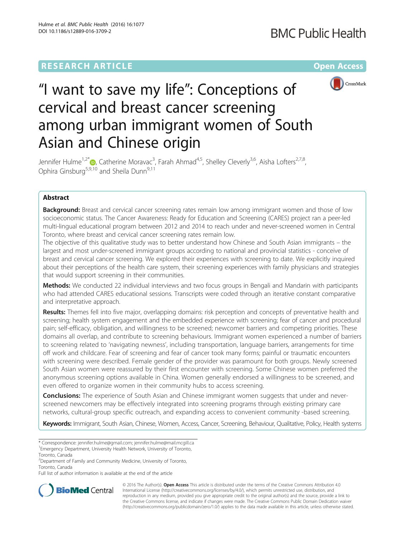## **RESEARCH ARTICLE External Structure Community Community Community Community Community Community Community Community**



# "I want to save my life": Conceptions of cervical and breast cancer screening among urban immigrant women of South Asian and Chinese origin

Jennifer Hulme<sup>1[,](http://orcid.org/0000-0001-9825-9069)2\*</sup> D, Catherine Moravac<sup>3</sup>, Farah Ahmad<sup>4,5</sup>, Shelley Cleverly<sup>3,6</sup>, Aisha Lofters<sup>2,7,8</sup>, Ophira Ginsburg<sup>5,9,10</sup> and Sheila Dunn<sup>9,11</sup>

## Abstract

Background: Breast and cervical cancer screening rates remain low among immigrant women and those of low socioeconomic status. The Cancer Awareness: Ready for Education and Screening (CARES) project ran a peer-led multi-lingual educational program between 2012 and 2014 to reach under and never-screened women in Central Toronto, where breast and cervical cancer screening rates remain low.

The objective of this qualitative study was to better understand how Chinese and South Asian immigrants – the largest and most under-screened immigrant groups according to national and provincial statistics - conceive of breast and cervical cancer screening. We explored their experiences with screening to date. We explicitly inquired about their perceptions of the health care system, their screening experiences with family physicians and strategies that would support screening in their communities.

Methods: We conducted 22 individual interviews and two focus groups in Bengali and Mandarin with participants who had attended CARES educational sessions. Transcripts were coded through an iterative constant comparative and interpretative approach.

Results: Themes fell into five major, overlapping domains: risk perception and concepts of preventative health and screening; health system engagement and the embedded experience with screening; fear of cancer and procedural pain; self-efficacy, obligation, and willingness to be screened; newcomer barriers and competing priorities. These domains all overlap, and contribute to screening behaviours. Immigrant women experienced a number of barriers to screening related to 'navigating newness', including transportation, language barriers, arrangements for time off work and childcare. Fear of screening and fear of cancer took many forms; painful or traumatic encounters with screening were described. Female gender of the provider was paramount for both groups. Newly screened South Asian women were reassured by their first encounter with screening. Some Chinese women preferred the anonymous screening options available in China. Women generally endorsed a willingness to be screened, and even offered to organize women in their community hubs to access screening.

**Conclusions:** The experience of South Asian and Chinese immigrant women suggests that under and neverscreened newcomers may be effectively integrated into screening programs through existing primary care networks, cultural-group specific outreach, and expanding access to convenient community -based screening.

Keywords: Immigrant, South Asian, Chinese, Women, Access, Cancer, Screening, Behaviour, Qualitative, Policy, Health systems

Full list of author information is available at the end of the article



© 2016 The Author(s). Open Access This article is distributed under the terms of the Creative Commons Attribution 4.0 International License [\(http://creativecommons.org/licenses/by/4.0/](http://creativecommons.org/licenses/by/4.0/)), which permits unrestricted use, distribution, and reproduction in any medium, provided you give appropriate credit to the original author(s) and the source, provide a link to the Creative Commons license, and indicate if changes were made. The Creative Commons Public Domain Dedication waiver [\(http://creativecommons.org/publicdomain/zero/1.0/](http://creativecommons.org/publicdomain/zero/1.0/)) applies to the data made available in this article, unless otherwise stated.

<sup>\*</sup> Correspondence: [jennifer.hulme@gmail.com](mailto:jennifer.hulme@gmail.com); [jennifer.hulme@mail.mcgill.ca](mailto:jennifer.hulme@mail.mcgill.ca) <sup>1</sup>

Emergency Department, University Health Network, University of Toronto, Toronto, Canada

<sup>&</sup>lt;sup>2</sup>Department of Family and Community Medicine, University of Toronto, Toronto, Canada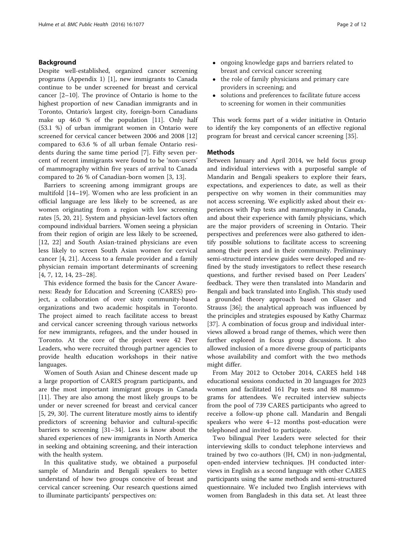## Background

Despite well-established, organized cancer screening programs ([Appendix 1](#page-10-0)) [[1\]](#page-10-0), new immigrants to Canada continue to be under screened for breast and cervical cancer [[2](#page-10-0)–[10](#page-11-0)]. The province of Ontario is home to the highest proportion of new Canadian immigrants and in Toronto, Ontario's largest city, foreign-born Canadians make up 46.0 % of the population [\[11\]](#page-11-0). Only half (53.1 %) of urban immigrant women in Ontario were screened for cervical cancer between 2006 and 2008 [[12](#page-11-0)] compared to 63.6 % of all urban female Ontario residents during the same time period [[7\]](#page-11-0). Fifty seven percent of recent immigrants were found to be 'non-users' of mammography within five years of arrival to Canada compared to 26 % of Canadian-born women [\[3](#page-10-0), [13](#page-11-0)].

Barriers to screening among immigrant groups are multifold [[14](#page-11-0)–[19](#page-11-0)]. Women who are less proficient in an official language are less likely to be screened, as are women originating from a region with low screening rates [\[5](#page-10-0), [20](#page-11-0), [21](#page-11-0)]. System and physician-level factors often compound individual barriers. Women seeing a physician from their region of origin are less likely to be screened, [[12, 22](#page-11-0)] and South Asian-trained physicians are even less likely to screen South Asian women for cervical cancer [\[4](#page-10-0), [21\]](#page-11-0). Access to a female provider and a family physician remain important determinants of screening [[4,](#page-10-0) [7](#page-11-0), [12](#page-11-0), [14, 23](#page-11-0)–[28\]](#page-11-0).

This evidence formed the basis for the Cancer Awareness: Ready for Education and Screening (CARES) project, a collaboration of over sixty community-based organizations and two academic hospitals in Toronto. The project aimed to reach facilitate access to breast and cervical cancer screening through various networks for new immigrants, refugees, and the under housed in Toronto. At the core of the project were 42 Peer Leaders, who were recruited through partner agencies to provide health education workshops in their native languages.

Women of South Asian and Chinese descent made up a large proportion of CARES program participants, and are the most important immigrant groups in Canada [[11\]](#page-11-0). They are also among the most likely groups to be under or never screened for breast and cervical cancer [[5,](#page-10-0) [29, 30\]](#page-11-0). The current literature mostly aims to identify predictors of screening behavior and cultural-specific barriers to screening [[31](#page-11-0)–[34\]](#page-11-0). Less is know about the shared experiences of new immigrants in North America in seeking and obtaining screening, and their interaction with the health system.

In this qualitative study, we obtained a purposeful sample of Mandarin and Bengali speakers to better understand of how two groups conceive of breast and cervical cancer screening. Our research questions aimed to illuminate participants' perspectives on:

- ongoing knowledge gaps and barriers related to breast and cervical cancer screening
- the role of family physicians and primary care providers in screening; and
- solutions and preferences to facilitate future access to screening for women in their communities

This work forms part of a wider initiative in Ontario to identify the key components of an effective regional program for breast and cervical cancer screening [\[35](#page-11-0)].

## Methods

Between January and April 2014, we held focus group and individual interviews with a purposeful sample of Mandarin and Bengali speakers to explore their fears, expectations, and experiences to date, as well as their perspective on why women in their communities may not access screening. We explicitly asked about their experiences with Pap tests and mammography in Canada, and about their experience with family physicians, which are the major providers of screening in Ontario. Their perspectives and preferences were also gathered to identify possible solutions to facilitate access to screening among their peers and in their community. Preliminary semi-structured interview guides were developed and refined by the study investigators to reflect these research questions, and further revised based on Peer Leaders' feedback. They were then translated into Mandarin and Bengali and back translated into English. This study used a grounded theory approach based on Glaser and Strauss [\[36](#page-11-0)]; the analytical approach was influenced by the principles and strategies espoused by Kathy Charmaz [[37\]](#page-11-0). A combination of focus group and individual interviews allowed a broad range of themes, which were then further explored in focus group discussions. It also allowed inclusion of a more diverse group of participants whose availability and comfort with the two methods might differ.

From May 2012 to October 2014, CARES held 148 educational sessions conducted in 20 languages for 2023 women and facilitated 161 Pap tests and 88 mammograms for attendees. We recruited interview subjects from the pool of 739 CARES participants who agreed to receive a follow-up phone call. Mandarin and Bengali speakers who were 4–12 months post-education were telephoned and invited to participate.

Two bilingual Peer Leaders were selected for their interviewing skills to conduct telephone interviews and trained by two co-authors (JH, CM) in non-judgmental, open-ended interview techniques. JH conducted interviews in English as a second language with other CARES participants using the same methods and semi-structured questionnaire. We included two English interviews with women from Bangladesh in this data set. At least three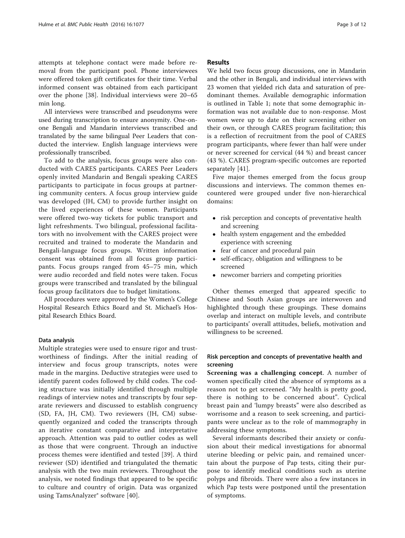attempts at telephone contact were made before removal from the participant pool. Phone interviewees were offered token gift certificates for their time. Verbal informed consent was obtained from each participant over the phone [[38](#page-11-0)]. Individual interviews were 20–65 min long.

All interviews were transcribed and pseudonyms were used during transcription to ensure anonymity. One-onone Bengali and Mandarin interviews transcribed and translated by the same bilingual Peer Leaders that conducted the interview. English language interviews were professionally transcribed.

To add to the analysis, focus groups were also conducted with CARES participants. CARES Peer Leaders openly invited Mandarin and Bengali speaking CARES participants to participate in focus groups at partnering community centers. A focus group interview guide was developed (JH, CM) to provide further insight on the lived experiences of these women. Participants were offered two-way tickets for public transport and light refreshments. Two bilingual, professional facilitators with no involvement with the CARES project were recruited and trained to moderate the Mandarin and Bengali-language focus groups. Written information consent was obtained from all focus group participants. Focus groups ranged from 45–75 min, which were audio recorded and field notes were taken. Focus groups were transcribed and translated by the bilingual focus group facilitators due to budget limitations.

All procedures were approved by the Women's College Hospital Research Ethics Board and St. Michael's Hospital Research Ethics Board.

#### Data analysis

Multiple strategies were used to ensure rigor and trustworthiness of findings. After the initial reading of interview and focus group transcripts, notes were made in the margins. Deductive strategies were used to identify parent codes followed by child codes. The coding structure was initially identified through multiple readings of interview notes and transcripts by four separate reviewers and discussed to establish congruency (SD, FA, JH, CM). Two reviewers (JH, CM) subsequently organized and coded the transcripts through an iterative constant comparative and interpretative approach. Attention was paid to outlier codes as well as those that were congruent. Through an inductive process themes were identified and tested [[39\]](#page-11-0). A third reviewer (SD) identified and triangulated the thematic analysis with the two main reviewers. Throughout the analysis, we noted findings that appeared to be specific to culture and country of origin. Data was organized using TamsAnalyzer® software [[40\]](#page-11-0).

## Results

We held two focus group discussions, one in Mandarin and the other in Bengali, and individual interviews with 23 women that yielded rich data and saturation of predominant themes. Available demographic information is outlined in Table [1;](#page-3-0) note that some demographic information was not available due to non-response. Most women were up to date on their screening either on their own, or through CARES program facilitation; this is a reflection of recruitment from the pool of CARES program participants, where fewer than half were under or never screened for cervical (44 %) and breast cancer (43 %). CARES program-specific outcomes are reported separately [\[41](#page-11-0)].

Five major themes emerged from the focus group discussions and interviews. The common themes encountered were grouped under five non-hierarchical domains:

- risk perception and concepts of preventative health and screening
- health system engagement and the embedded experience with screening
- fear of cancer and procedural pain<br>• self-efficacy, obligation and willing
- self-efficacy, obligation and willingness to be screened
- newcomer barriers and competing priorities

Other themes emerged that appeared specific to Chinese and South Asian groups are interwoven and highlighted through these groupings. These domains overlap and interact on multiple levels, and contribute to participants' overall attitudes, beliefs, motivation and willingness to be screened.

## Risk perception and concepts of preventative health and screening

Screening was a challenging concept. A number of women specifically cited the absence of symptoms as a reason not to get screened. "My health is pretty good, there is nothing to be concerned about". Cyclical breast pain and 'lumpy breasts" were also described as worrisome and a reason to seek screening, and participants were unclear as to the role of mammography in addressing these symptoms.

Several informants described their anxiety or confusion about their medical investigations for abnormal uterine bleeding or pelvic pain, and remained uncertain about the purpose of Pap tests, citing their purpose to identify medical conditions such as uterine polyps and fibroids. There were also a few instances in which Pap tests were postponed until the presentation of symptoms.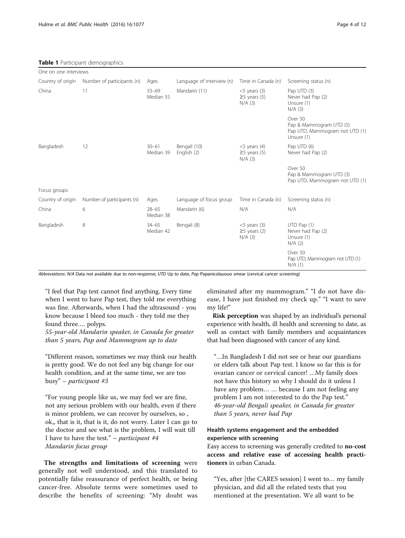#### <span id="page-3-0"></span>Table 1 Participant demographics

| One on one interviews |                            |                        |                             |                                                    |                                                                                    |
|-----------------------|----------------------------|------------------------|-----------------------------|----------------------------------------------------|------------------------------------------------------------------------------------|
| Country of origin     | Number of participants (n) | Ages                   | Language of interview (n)   | Time in Canada (n)                                 | Screening status (n)                                                               |
| China                 | 11                         | $33 - 69$<br>Median 55 | Mandarin (11)               | $<$ 5 years (3)<br>$\geq$ 5 years (5)<br>$N/A$ (3) | Pap UTD (3)<br>Never had Pap (2)<br>Unsure (1)<br>$N/A$ (3)                        |
|                       |                            |                        |                             |                                                    | Over 50<br>Pap & Mammogram UTD (5)<br>Pap UTD, Mammogram not UTD (1)<br>Unsure (1) |
| Bangladesh            | 12                         | $30 - 61$<br>Median 39 | Bengali (10)<br>English (2) | $<$ 5 years (4)<br>$≥5$ years (5)<br>$N/A$ (3)     | Pap UTD (6)<br>Never had Pap (2)                                                   |
|                       |                            |                        |                             |                                                    | Over 50<br>Pap & Mammogram UTD (3)<br>Pap UTD, Mammogram not UTD (1)               |
| Focus groups          |                            |                        |                             |                                                    |                                                                                    |
| Country of origin     | Number of participants (n) | Ages                   | Language of focus group     | Time in Canada (n)                                 | Screening status (n)                                                               |
| China                 | 6                          | $28 - 65$<br>Median 38 | Mandarin (6)                | N/A                                                | N/A                                                                                |
| Bangladesh            | 8                          | $34 - 65$<br>Median 42 | Bengali (8)                 | $<$ 5 years (3)<br>$\geq$ 5 years (2)<br>$N/A$ (3) | UTD Pap (1)<br>Never had Pap (2)<br>Unsure (1)<br>$N/A$ (2)                        |
|                       |                            |                        |                             |                                                    | Over 50<br>Pap UTD, Mammogram not UTD (1)<br>N/A(1)                                |

Abbreviations: N/A Data not available due to non-response; UTD Up to date, Pap Papanicolauouo smear (cervical cancer screening)

"I feel that Pap test cannot find anything. Every time when I went to have Pap test, they told me everything was fine. Afterwards, when I had the ultrasound - you know because I bleed too much - they told me they found three…. polyps.

55-year-old Mandarin speaker, in Canada for greater than 5 years, Pap and Mammogram up to date

"Different reason, sometimes we may think our health is pretty good. We do not feel any big change for our health condition, and at the same time, we are too busy" – participant #3

"For young people like us, we may feel we are fine, not any serious problem with our health, even if there is minor problem, we can recover by ourselves, so , ok,, that is it, that is it, do not worry. Later I can go to the doctor and see what is the problem, I will wait till I have to have the test." – *participant* #4 Mandarin focus group

The strengths and limitations of screening were generally not well understood, and this translated to potentially false reassurance of perfect health, or being cancer-free. Absolute terms were sometimes used to describe the benefits of screening: "My doubt was

eliminated after my mammogram." "I do not have disease, I have just finished my check up." "I want to save my life!"

Risk perception was shaped by an individual's personal experience with health, ill health and screening to date, as well as contact with family members and acquaintances that had been diagnosed with cancer of any kind.

"…In Bangladesh I did not see or hear our guardians or elders talk about Pap test. I know so far this is for ovarian cancer or cervical cancer! …My family does not have this history so why I should do it unless I have any problem… … because I am not feeling any problem I am not interested to do the Pap test." 46-year-old Bengali speaker, in Canada for greater than 5 years, never had Pap

## Health systems engagement and the embedded experience with screening

Easy access to screening was generally credited to no-cost access and relative ease of accessing health practitioners in urban Canada.

"Yes, after [the CARES session] I went to… my family physician, and did all the related tests that you mentioned at the presentation. We all want to be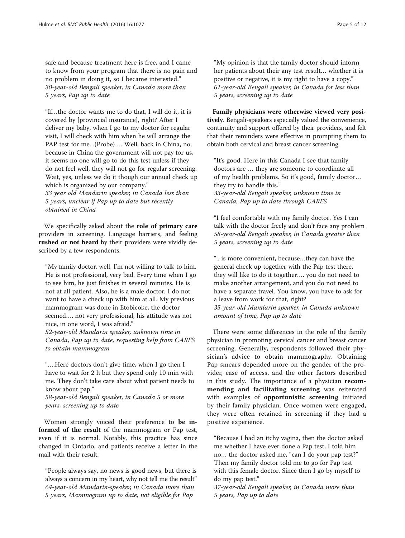safe and because treatment here is free, and I came to know from your program that there is no pain and no problem in doing it, so I became interested." 30-year-old Bengali speaker, in Canada more than 5 years, Pap up to date

"If…the doctor wants me to do that, I will do it, it is covered by [provincial insurance], right? After I deliver my baby, when I go to my doctor for regular visit, I will check with him when he will arrange the PAP test for me. .(Probe)…. Well, back in China, no, because in China the government will not pay for us, it seems no one will go to do this test unless if they do not feel well, they will not go for regular screening. Wait, yes, unless we do it though our annual check up which is organized by our company."

33 year old Mandarin speaker, in Canada less than 5 years, unclear if Pap up to date but recently obtained in China

We specifically asked about the role of primary care providers in screening. Language barriers, and feeling rushed or not heard by their providers were vividly described by a few respondents.

"My family doctor, well, I'm not willing to talk to him. He is not professional, very bad. Every time when I go to see him, he just finishes in several minutes. He is not at all patient. Also, he is a male doctor; I do not want to have a check up with him at all. My previous mammogram was done in Etobicoke, the doctor seemed…. not very professional, his attitude was not nice, in one word, I was afraid."

52-year-old Mandarin speaker, unknown time in Canada, Pap up to date, requesting help from CARES to obtain mammogram

"….Here doctors don't give time, when I go then I have to wait for 2 h but they spend only 10 min with me. They don't take care about what patient needs to know about pap."

58-year-old Bengali speaker, in Canada 5 or more years, screening up to date

Women strongly voiced their preference to be informed of the result of the mammogram or Pap test, even if it is normal. Notably, this practice has since changed in Ontario, and patients receive a letter in the mail with their result.

"People always say, no news is good news, but there is always a concern in my heart, why not tell me the result" 64-year-old Mandarin-speaker, in Canada more than 5 years, Mammogram up to date, not eligible for Pap

"My opinion is that the family doctor should inform her patients about their any test result… whether it is positive or negative, it is my right to have a copy." 61-year-old Bengali speaker, in Canada for less than 5 years, screening up to date

Family physicians were otherwise viewed very positively. Bengali-speakers especially valued the convenience, continuity and support offered by their providers, and felt that their reminders were effective in prompting them to obtain both cervical and breast cancer screening.

"It's good. Here in this Canada I see that family doctors are … they are someone to coordinate all of my health problems. So it's good, family doctor… they try to handle this." 33-year-old Bengali speaker, unknown time in

Canada, Pap up to date through CARES

"I feel comfortable with my family doctor. Yes I can talk with the doctor freely and don't face any problem 58-year-old Bengali speaker, in Canada greater than 5 years, screening up to date

".. is more convenient, because…they can have the general check up together with the Pap test there, they will like to do it together…. you do not need to make another arrangement, and you do not need to have a separate travel. You know, you have to ask for a leave from work for that, right? 35-year-old Mandarin speaker, in Canada unknown amount of time, Pap up to date

There were some differences in the role of the family physician in promoting cervical cancer and breast cancer screening. Generally, respondents followed their physician's advice to obtain mammography. Obtaining Pap smears depended more on the gender of the provider, ease of access, and the other factors described in this study. The importance of a physician recommending and facilitating screening was reiterated with examples of opportunistic screening initiated by their family physician. Once women were engaged, they were often retained in screening if they had a positive experience.

"Because I had an itchy vagina, then the doctor asked me whether I have ever done a Pap test, I told him no… the doctor asked me, "can I do your pap test?" Then my family doctor told me to go for Pap test with this female doctor. Since then I go by myself to do my pap test."

37-year-old Bengali speaker, in Canada more than 5 years, Pap up to date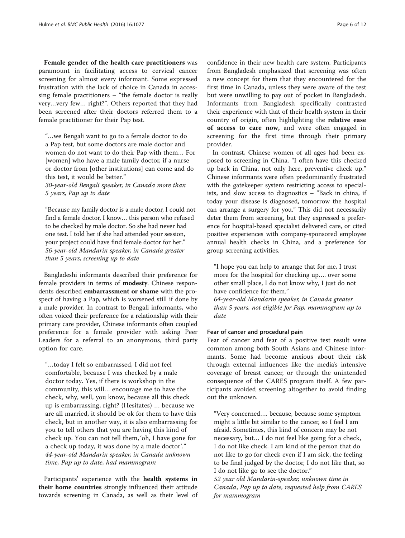Female gender of the health care practitioners was paramount in facilitating access to cervical cancer screening for almost every informant. Some expressed frustration with the lack of choice in Canada in accessing female practitioners – "the female doctor is really very…very few… right?". Others reported that they had been screened after their doctors referred them to a female practitioner for their Pap test.

"…we Bengali want to go to a female doctor to do a Pap test, but some doctors are male doctor and women do not want to do their Pap with them… For [women] who have a male family doctor, if a nurse or doctor from [other institutions] can come and do this test, it would be better."

30-year-old Bengali speaker, in Canada more than 5 years, Pap up to date

"Because my family doctor is a male doctor, I could not find a female doctor, I know… this person who refused to be checked by male doctor. So she had never had one test. I told her if she had attended your session, your project could have find female doctor for her." 56-year-old Mandarin speaker, in Canada greater than 5 years, screening up to date

Bangladeshi informants described their preference for female providers in terms of modesty. Chinese respondents described embarrassment or shame with the prospect of having a Pap, which is worsened still if done by a male provider. In contrast to Bengali informants, who often voiced their preference for a relationship with their primary care provider, Chinese informants often coupled preference for a female provider with asking Peer Leaders for a referral to an anonymous, third party option for care.

"…today I felt so embarrassed, I did not feel comfortable, because I was checked by a male doctor today. Yes, if there is workshop in the community, this will… encourage me to have the check, why, well, you know, because all this check up is embarrassing, right? (Hesitates) … because we are all married, it should be ok for them to have this check, but in another way, it is also embarrassing for you to tell others that you are having this kind of check up. You can not tell them, 'oh, I have gone for a check up today, it was done by a male doctor'." 44-year-old Mandarin speaker, in Canada unknown time, Pap up to date, had mammogram

Participants' experience with the health systems in their home countries strongly influenced their attitude towards screening in Canada, as well as their level of

confidence in their new health care system. Participants from Bangladesh emphasized that screening was often a new concept for them that they encountered for the first time in Canada, unless they were aware of the test but were unwilling to pay out of pocket in Bangladesh. Informants from Bangladesh specifically contrasted their experience with that of their health system in their country of origin, often highlighting the relative ease of access to care now, and were often engaged in screening for the first time through their primary provider.

In contrast, Chinese women of all ages had been exposed to screening in China. "I often have this checked up back in China, not only here, preventive check up." Chinese informants were often predominantly frustrated with the gatekeeper system restricting access to specialists, and slow access to diagnostics – "Back in china, if today your disease is diagnosed, tomorrow the hospital can arrange a surgery for you." This did not necessarily deter them from screening, but they expressed a preference for hospital-based specialist delivered care, or cited positive experiences with company-sponsored employee annual health checks in China, and a preference for group screening activities.

"I hope you can help to arrange that for me, I trust more for the hospital for checking up…. over some other small place, I do not know why, I just do not have confidence for them."

64-year-old Mandarin speaker, in Canada greater than 5 years, not eligible for Pap, mammogram up to date

## Fear of cancer and procedural pain

Fear of cancer and fear of a positive test result were common among both South Asians and Chinese informants. Some had become anxious about their risk through external influences like the media's intensive coverage of breast cancer, or through the unintended consequence of the CARES program itself. A few participants avoided screening altogether to avoid finding out the unknown.

"Very concerned…. because, because some symptom might a little bit similar to the cancer, so I feel I am afraid. Sometimes, this kind of concern may be not necessary, but… I do not feel like going for a check, I do not like check. I am kind of the person that do not like to go for check even if I am sick, the feeling to be final judged by the doctor, I do not like that, so I do not like go to see the doctor."

52 year old Mandarin-speaker, unknown time in Canada, Pap up to date, requested help from CARES for mammogram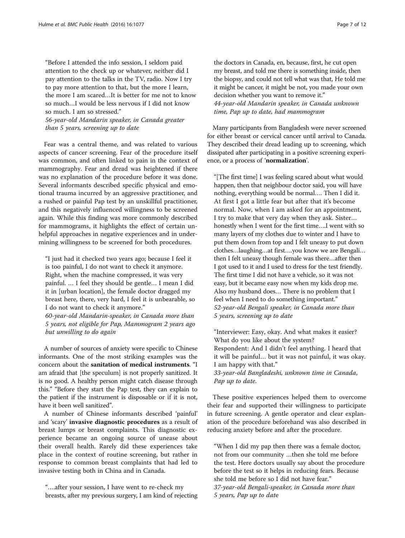"Before I attended the info session, I seldom paid attention to the check up or whatever, neither did I pay attention to the talks in the TV, radio. Now I try to pay more attention to that, but the more I learn, the more I am scared…It is better for me not to know so much…I would be less nervous if I did not know so much. I am so stressed."

56-year-old Mandarin speaker, in Canada greater than 5 years, screening up to date

Fear was a central theme, and was related to various aspects of cancer screening. Fear of the procedure itself was common, and often linked to pain in the context of mammography. Fear and dread was heightened if there was no explanation of the procedure before it was done. Several informants described specific physical and emotional trauma incurred by an aggressive practitioner, and a rushed or painful Pap test by an unskillful practitioner, and this negatively influenced willingness to be screened again. While this finding was more commonly described for mammograms, it highlights the effect of certain unhelpful approaches in negative experiences and in undermining willingness to be screened for both procedures.

"I just had it checked two years ago; because I feel it is too painful, I do not want to check it anymore. Right, when the machine compressed, it was very painful. … I feel they should be gentle… I mean I did it in [urban location], the female doctor dragged my breast here, there, very hard, I feel it is unbearable, so I do not want to check it anymore."

60-year-old Mandarin-speaker, in Canada more than 5 years, not eligible for Pap, Mammogram 2 years ago but unwilling to do again

A number of sources of anxiety were specific to Chinese informants. One of the most striking examples was the concern about the sanitation of medical instruments. "I am afraid that [the speculum] is not properly sanitized. It is no good. A healthy person might catch disease through this." "Before they start the Pap test, they can explain to the patient if the instrument is disposable or if it is not, have it been well sanitized".

A number of Chinese informants described 'painful' and 'scary' invasive diagnostic procedures as a result of breast lumps or breast complaints. This diagnostic experience became an ongoing source of unease about their overall health. Rarely did these experiences take place in the context of routine screening, but rather in response to common breast complaints that had led to invasive testing both in China and in Canada.

"….after your session, I have went to re-check my breasts, after my previous surgery, I am kind of rejecting the doctors in Canada, en, because, first, he cut open my breast, and told me there is something inside, then the biopsy, and could not tell what was that, He told me it might be cancer, it might be not, you made your own decision whether you want to remove it." 44-year-old Mandarin speaker, in Canada unknown time, Pap up to date, had mammogram

Many participants from Bangladesh were never screened for either breast or cervical cancer until arrival to Canada. They described their dread leading up to screening, which dissipated after participating in a positive screening experience, or a process of 'normalization'.

"[The first time] I was feeling scared about what would happen, then that neighbour doctor said, you will have nothing, everything would be normal…. Then I did it. At first I got a little fear but after that it's become normal. Now, when I am asked for an appointment, I try to make that very day when they ask. Sister… honestly when I went for the first time….I went with so many layers of my clothes due to winter and I have to put them down from top and I felt uneasy to put down clothes…laughing…at first….you know we are Bengali… then I felt uneasy though female was there…after then I got used to it and I used to dress for the test friendly. The first time I did not have a vehicle, so it was not easy, but it became easy now when my kids drop me. Also my husband does… There is no problem that I feel when I need to do something important." 52-year-old Bengali speaker, in Canada more than 5 years, screening up to date

"Interviewer: Easy, okay. And what makes it easier? What do you like about the system? Respondent: And I didn't feel anything. I heard that it will be painful… but it was not painful, it was okay. I am happy with that."

33-year-old Bangladeshi, unknown time in Canada, Pap up to date.

These positive experiences helped them to overcome their fear and supported their willingness to participate in future screening. A gentle operator and clear explanation of the procedure beforehand was also described in reducing anxiety before and after the procedure.

"When I did my pap then there was a female doctor, not from our community …then she told me before the test. Here doctors usually say about the procedure before the test so it helps in reducing fears. Because she told me before so I did not have fear." 37-year-old Bengali-speaker, in Canada more than 5 years, Pap up to date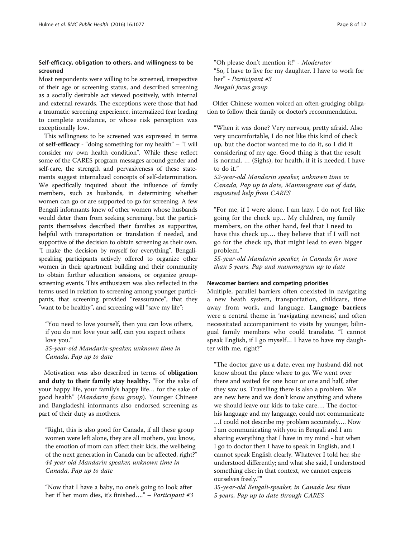## Self-efficacy, obligation to others, and willingness to be screened

Most respondents were willing to be screened, irrespective of their age or screening status, and described screening as a socially desirable act viewed positively, with internal and external rewards. The exceptions were those that had a traumatic screening experience, internalized fear leading to complete avoidance, or whose risk perception was exceptionally low.

This willingness to be screened was expressed in terms of self-efficacy - "doing something for my health"–"I will consider my own health condition". While these reflect some of the CARES program messages around gender and self-care, the strength and pervasiveness of these statements suggest internalized concepts of self-determination. We specifically inquired about the influence of family members, such as husbands, in determining whether women can go or are supported to go for screening. A few Bengali informants knew of other women whose husbands would deter them from seeking screening, but the participants themselves described their families as supportive, helpful with transportation or translation if needed, and supportive of the decision to obtain screening as their own. "I make the decision by myself for everything". Bengalispeaking participants actively offered to organize other women in their apartment building and their community to obtain further education sessions, or organize groupscreening events. This enthusiasm was also reflected in the terms used in relation to screening among younger participants, that screening provided "reassurance", that they "want to be healthy", and screening will "save my life":

"You need to love yourself, then you can love others, if you do not love your self, can you expect others love you." 35-year-old Mandarin-speaker, unknown time in Canada, Pap up to date

Motivation was also described in terms of obligation and duty to their family stay healthy. "For the sake of your happy life, your family's happy life… for the sake of good health" (Mandarin focus group). Younger Chinese and Bangladeshi informants also endorsed screening as part of their duty as mothers.

"Right, this is also good for Canada, if all these group women were left alone, they are all mothers, you know, the emotion of mom can affect their kids, the wellbeing of the next generation in Canada can be affected, right?" 44 year old Mandarin speaker, unknown time in Canada, Pap up to date

"Now that I have a baby, no one's going to look after her if her mom dies, it's finished…." – Participant #3 "Oh please don't mention it!" - Moderator "So, I have to live for my daughter. I have to work for her" - Participant #3 Bengali focus group

Older Chinese women voiced an often-grudging obligation to follow their family or doctor's recommendation.

"When it was done? Very nervous, pretty afraid. Also very uncomfortable, I do not like this kind of check up, but the doctor wanted me to do it, so I did it considering of my age. Good thing is that the result is normal. … (Sighs), for health, if it is needed, I have to do it."

52-year-old Mandarin speaker, unknown time in Canada, Pap up to date, Mammogram out of date, requested help from CARES

"For me, if I were alone, I am lazy, I do not feel like going for the check up… My children, my family members, on the other hand, feel that I need to have this check up…. they believe that if I will not go for the check up, that might lead to even bigger problem."

55-year-old Mandarin speaker, in Canada for more than 5 years, Pap and mammogram up to date

## Newcomer barriers and competing priorities

Multiple, parallel barriers often coexisted in navigating a new heath system, transportation, childcare, time away from work, and language. Language barriers were a central theme in 'navigating newness', and often necessitated accompaniment to visits by younger, bilingual family members who could translate. "I cannot speak English, if I go myself… I have to have my daughter with me, right?"

"The doctor gave us a date, even my husband did not know about the place where to go. We went over there and waited for one hour or one and half, after they saw us. Travelling there is also a problem. We are new here and we don't know anything and where we should leave our kids to take care…. The doctorhis language and my language, could not communicate …I could not describe my problem accurately…. Now I am communicating with you in Bengali and I am sharing everything that I have in my mind - but when I go to doctor then I have to speak in English, and I cannot speak English clearly. Whatever I told her, she understood differently; and what she said, I understood something else; in that context, we cannot express ourselves freely.""

35-year-old Bengali-speaker, in Canada less than 5 years, Pap up to date through CARES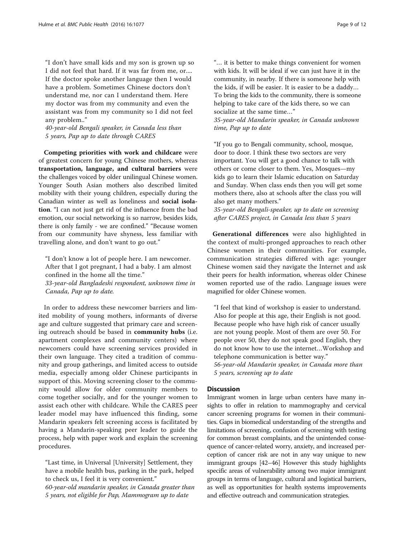"I don't have small kids and my son is grown up so I did not feel that hard. If it was far from me, or.... If the doctor spoke another language then I would have a problem. Sometimes Chinese doctors don't understand me, nor can I understand them. Here my doctor was from my community and even the assistant was from my community so I did not feel any problem.."

40-year-old Bengali speaker, in Canada less than 5 years, Pap up to date through CARES

Competing priorities with work and childcare were of greatest concern for young Chinese mothers, whereas transportation, language, and cultural barriers were the challenges voiced by older unilingual Chinese women. Younger South Asian mothers also described limited mobility with their young children, especially during the Canadian winter as well as loneliness and social isolation. "I can not just get rid of the influence from the bad emotion, our social networking is so narrow, besides kids, there is only family - we are confined." "Because women from our community have shyness, less familiar with travelling alone, and don't want to go out."

"I don't know a lot of people here. I am newcomer. After that I got pregnant, I had a baby. I am almost confined in the home all the time." 33-year-old Bangladeshi respondent, unknown time in Canada, Pap up to date.

In order to address these newcomer barriers and limited mobility of young mothers, informants of diverse age and culture suggested that primary care and screening outreach should be based in community hubs (i.e. apartment complexes and community centers) where newcomers could have screening services provided in their own language. They cited a tradition of community and group gatherings, and limited access to outside media, especially among older Chinese participants in support of this. Moving screening closer to the community would allow for older community members to come together socially, and for the younger women to assist each other with childcare. While the CARES peer leader model may have influenced this finding, some Mandarin speakers felt screening access is facilitated by having a Mandarin-speaking peer leader to guide the process, help with paper work and explain the screening procedures.

"Last time, in Universal [University] Settlement, they have a mobile health bus, parking in the park, helped to check us, I feel it is very convenient."

60-year-old mandarin speaker, in Canada greater than 5 years, not eligible for Pap, Mammogram up to date

"… it is better to make things convenient for women with kids. It will be ideal if we can just have it in the community, in nearby. If there is someone help with the kids, if will be easier. It is easier to be a daddy… To bring the kids to the community, there is someone helping to take care of the kids there, so we can socialize at the same time…"

35-year-old Mandarin speaker, in Canada unknown time, Pap up to date

"If you go to Bengali community, school, mosque, door to door. I think these two sectors are very important. You will get a good chance to talk with others or come closer to them. Yes, Mosques—my kids go to learn their Islamic education on Saturday and Sunday. When class ends then you will get some mothers there, also at schools after the class you will also get many mothers."

35-year-old Bengali-speaker, up to date on screening after CARES project, in Canada less than 5 years

Generational differences were also highlighted in the context of multi-pronged approaches to reach other Chinese women in their communities. For example, communication strategies differed with age: younger Chinese women said they navigate the Internet and ask their peers for health information, whereas older Chinese women reported use of the radio. Language issues were magnified for older Chinese women.

"I feel that kind of workshop is easier to understand. Also for people at this age, their English is not good. Because people who have high risk of cancer usually are not young people. Most of them are over 50. For people over 50, they do not speak good English, they do not know how to use the internet…Workshop and telephone communication is better way."

56-year-old Mandarin speaker, in Canada more than 5 years, screening up to date

## **Discussion**

Immigrant women in large urban centers have many insights to offer in relation to mammography and cervical cancer screening programs for women in their communities. Gaps in biomedical understanding of the strengths and limitations of screening, confusion of screening with testing for common breast complaints, and the unintended consequence of cancer-related worry, anxiety, and increased perception of cancer risk are not in any way unique to new immigrant groups [\[42](#page-11-0)–[46](#page-11-0)] However this study highlights specific areas of vulnerability among two major immigrant groups in terms of language, cultural and logistical barriers, as well as opportunities for health systems improvements and effective outreach and communication strategies.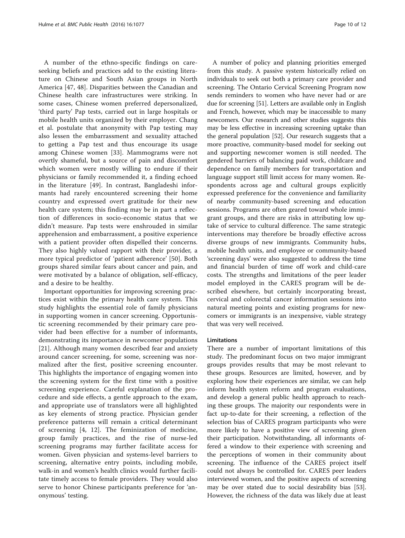A number of the ethno-specific findings on careseeking beliefs and practices add to the existing literature on Chinese and South Asian groups in North America [\[47](#page-11-0), [48\]](#page-11-0). Disparities between the Canadian and Chinese health care infrastructures were striking. In some cases, Chinese women preferred depersonalized, 'third party' Pap tests, carried out in large hospitals or mobile health units organized by their employer. Chang et al. postulate that anonymity with Pap testing may also lessen the embarrassment and sexuality attached to getting a Pap test and thus encourage its usage among Chinese women [\[33](#page-11-0)]. Mammograms were not overtly shameful, but a source of pain and discomfort which women were mostly willing to endure if their physicians or family recommended it, a finding echoed in the literature [\[49](#page-11-0)]. In contrast, Bangladeshi informants had rarely encountered screening their home country and expressed overt gratitude for their new health care system; this finding may be in part a reflection of differences in socio-economic status that we didn't measure. Pap tests were enshrouded in similar apprehension and embarrassment, a positive experience with a patient provider often dispelled their concerns. They also highly valued rapport with their provider, a more typical predictor of 'patient adherence' [[50](#page-11-0)]. Both groups shared similar fears about cancer and pain, and were motivated by a balance of obligation, self-efficacy, and a desire to be healthy.

Important opportunities for improving screening practices exist within the primary health care system. This study highlights the essential role of family physicians in supporting women in cancer screening. Opportunistic screening recommended by their primary care provider had been effective for a number of informants, demonstrating its importance in newcomer populations [[21](#page-11-0)]. Although many women described fear and anxiety around cancer screening, for some, screening was normalized after the first, positive screening encounter. This highlights the importance of engaging women into the screening system for the first time with a positive screening experience. Careful explanation of the procedure and side effects, a gentle approach to the exam, and appropriate use of translators were all highlighted as key elements of strong practice. Physician gender preference patterns will remain a critical determinant of screening [[4](#page-10-0), [12](#page-11-0)]. The feminization of medicine, group family practices, and the rise of nurse-led screening programs may further facilitate access for women. Given physician and systems-level barriers to screening, alternative entry points, including mobile, walk-in and women's health clinics would further facilitate timely access to female providers. They would also serve to honor Chinese participants preference for 'anonymous' testing.

A number of policy and planning priorities emerged from this study. A passive system historically relied on individuals to seek out both a primary care provider and screening. The Ontario Cervical Screening Program now sends reminders to women who have never had or are due for screening [[51](#page-11-0)]. Letters are available only in English and French, however, which may be inaccessible to many newcomers. Our research and other studies suggests this may be less effective in increasing screening uptake than the general population [\[52\]](#page-11-0). Our research suggests that a more proactive, community-based model for seeking out and supporting newcomer women is still needed. The gendered barriers of balancing paid work, childcare and dependence on family members for transportation and language support still limit access for many women. Respondents across age and cultural groups explicitly expressed preference for the convenience and familiarity of nearby community-based screening and education sessions. Programs are often geared toward whole immigrant groups, and there are risks in attributing low uptake of service to cultural difference. The same strategic interventions may therefore be broadly effective across diverse groups of new immigrants. Community hubs, mobile health units, and employee or community-based 'screening days' were also suggested to address the time and financial burden of time off work and child-care costs. The strengths and limitations of the peer leader model employed in the CARES program will be described elsewhere, but certainly incorporating breast, cervical and colorectal cancer information sessions into natural meeting points and existing programs for newcomers or immigrants is an inexpensive, viable strategy that was very well received.

#### Limitations

There are a number of important limitations of this study. The predominant focus on two major immigrant groups provides results that may be most relevant to these groups. Resources are limited, however, and by exploring how their experiences are similar, we can help inform health system reform and program evaluations, and develop a general public health approach to reaching these groups. The majority our respondents were in fact up-to-date for their screening, a reflection of the selection bias of CARES program participants who were more likely to have a positive view of screening given their participation. Notwithstanding, all informants offered a window to their experience with screening and the perceptions of women in their community about screening. The influence of the CARES project itself could not always be controlled for. CARES peer leaders interviewed women, and the positive aspects of screening may be over stated due to social desirability bias [[53](#page-11-0)]. However, the richness of the data was likely due at least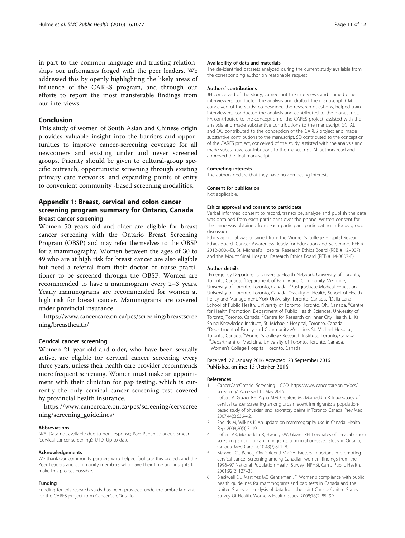<span id="page-10-0"></span>in part to the common language and trusting relationships our informants forged with the peer leaders. We addressed this by openly highlighting the likely areas of influence of the CARES program, and through our efforts to report the most transferable findings from our interviews.

## Conclusion

This study of women of South Asian and Chinese origin provides valuable insight into the barriers and opportunities to improve cancer-screening coverage for all newcomers and existing under and never screened groups. Priority should be given to cultural-group specific outreach, opportunistic screening through existing primary care networks, and expanding points of entry to convenient community -based screening modalities.

## Appendix 1: Breast, cervical and colon cancer screening program summary for Ontario, Canada Breast cancer screening

Women 50 years old and older are eligible for breast cancer screening with the Ontario Breast Screening Program (OBSP) and may refer themselves to the OBSP for a mammography. Women between the ages of 30 to 49 who are at high risk for breast cancer are also eligible but need a referral from their doctor or nurse practitioner to be screened through the OBSP. Women are recommended to have a mammogram every 2–3 years. Yearly mammograms are recommended for women at high risk for breast cancer. Mammograms are covered under provincial insurance.

[https://www.cancercare.on.ca/pcs/screening/breastscree](https://www.cancercare.on.ca/pcs/screening/breastscreening/breasthealth/) [ning/breasthealth/](https://www.cancercare.on.ca/pcs/screening/breastscreening/breasthealth/)

## Cervical cancer screening

Women 21 year old and older, who have been sexually active, are eligible for cervical cancer screening every three years, unless their health care provider recommends more frequent screening. Women must make an appointment with their clinician for pap testing, which is currently the only cervical cancer screening test covered by provincial health insurance.

[https://www.cancercare.on.ca/pcs/screening/cervscree](https://www.cancercare.on.ca/pcs/screening/cervscreening/screening_guidelines/) [ning/screening\\_guidelines/](https://www.cancercare.on.ca/pcs/screening/cervscreening/screening_guidelines/)

#### Abbreviations

N/A: Data not available due to non-response; Pap: Papanicolauouo smear (cervical cancer screening); UTD: Up to date

#### Acknowledgements

We thank our community partners who helped facilitate this project, and the Peer Leaders and community members who gave their time and insights to make this project possible.

#### Funding

Funding for this research study has been provided unde the umbrella grant for the CARES project form CancerCareOntario.

#### Availability of data and materials

The de-identified datasets analyzed during the current study available from the corresponding author on reasonable request.

#### Authors' contributions

JH conceived of the study, carried out the interviews and trained other interviewers, conducted the analysis and drafted the manuscript. CM conceived of the study, co-designed the research questions, helped train interviewers, conducted the analysis and contributed to the manuscript. FA contributed to the conception of the CARES project, assisted with the analysis and made substantive contributions to the manuscript. SC, AL, and OG contributed to the conception of the CARES project and made substantive contributions to the manuscript. SD contributed to the conception of the CARES project, conceived of the study, assisted with the analysis and made substantive contributions to the manuscript. All authors read and approved the final manuscript.

#### Competing interests

The authors declare that they have no competing interests.

#### Consent for publication

Not applicable.

#### Ethics approval and consent to participate

Verbal informed consent to record, transcribe, analyze and publish the data was obtained from each participant over the phone. Written consent for the same was obtained from each participant participating in focus group discussions.

Ethics approval was obtained from the Women's College Hospital Research Ethics Board (Cancer Awareness Ready for Education and Screening, REB # 2012-0006-E), St. Michael's Hospital Research Ethics Board (REB # 12–037) and the Mount Sinai Hospital Research Ethics Board (REB # 14-0007-E).

#### Author details

<sup>1</sup> Emergency Department, University Health Network, University of Toronto Toronto, Canada. <sup>2</sup>Department of Family and Community Medicine University of Toronto, Toronto, Canada. <sup>3</sup>Postgraduate Medical Education, University of Toronto, Toronto, Canada. <sup>4</sup> Faculty of Health, School of Health Policy and Management, York University, Toronto, Canada. <sup>5</sup>Dalla Lana School of Public Health, University of Toronto, Toronto, ON, Canada. <sup>6</sup>Centre for Health Promotion, Department of Public Health Sciences, University of Toronto, Toronto, Canada. <sup>7</sup> Centre for Research on Inner City Health, Li Ka Shing Knowledge Institute, St. Michael's Hospital, Toronto, Canada. <sup>8</sup> <sup>8</sup>Department of Family and Community Medicine, St. Michael Hospital, Toronto, Canada. <sup>9</sup>Women's College Research Institute, Toronto, Canada.<br><sup>10</sup>Department of Medicine, University of Toronto, Toronto, Canada. <sup>10</sup>Department of Medicine, University of Toronto, Toronto, Canada.<br><sup>11</sup>Women's College Hospital, Toronto, Canada.

#### Received: 27 January 2016 Accepted: 23 September 2016 Published online: 13 October 2016

#### References

- 1. CancerCareOntario. Screening—CCO. [https://www.cancercare.on.ca/pcs/](https://www.cancercare.on.ca/pcs/screening/) [screening/.](https://www.cancercare.on.ca/pcs/screening/) Accessed 15 May 2015.
- 2. Lofters A, Glazier RH, Agha MM, Creatore MI, Moineddin R. Inadequacy of cervical cancer screening among urban recent immigrants: a populationbased study of physician and laboratory claims in Toronto, Canada. Prev Med. 2007;44(6):536–42.
- 3. Sheilds M, Wilkins K. An update on mammography use in Canada. Health Rep. 2009;20(3):7–19.
- 4. Lofters AK, Moineddin R, Hwang SW, Glazier RH. Low rates of cervical cancer screening among urban immigrants: a population-based study in Ontario, Canada. Med Care. 2010;48(7):611–8.
- 5. Maxwell CJ, Bancej CM, Snider J, Vik SA. Factors important in promoting cervical cancer screening among Canadian women: findings from the 1996–97 National Population Health Survey (NPHS). Can J Public Health. 2001;92(2):127–33.
- 6. Blackwell DL, Martinez ME, Gentleman JF. Women's compliance with public health guidelines for mammograms and pap tests in Canada and the United States: an analysis of data from the Joint Canada/United States Survey Of Health. Womens Health Issues. 2008;18(2):85–99.